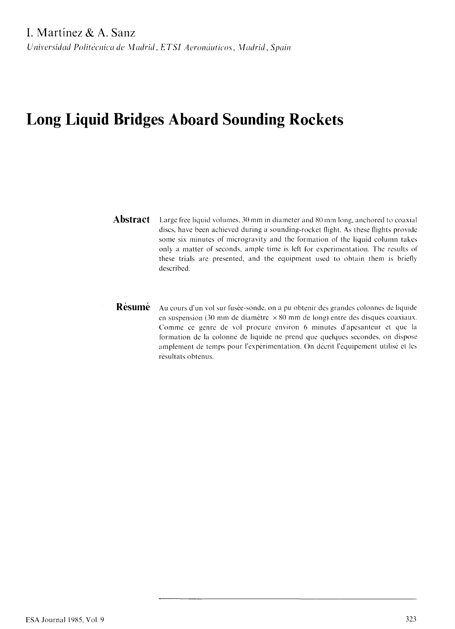# **Long Liquid Bridges Aboard Sounding Rockets**

- **Abstract** Large free liquid volumes, 30 mm in diameter and 80 mm long, anchored to coaxial discs, have been achieved during a sounding-rocket flight. As these flights provide some six minutes of microgravity and the formation of the liquid column takes only a matter of seconds, ample time is left for experimentation. The results of these trials are presented, and the equipment used to obtain them is briefly described.
- **Résumé** Au cours d'un vol sur fusée-sonde, on a pu obtenir des grandes colonnes de liquide en suspension (30 mm de diamètre  $\times 80$  mm de long) entre des disques coaxiaux. Comme ce genre de vol procure environ 6 minutes d'apesanteur et que la formation de la colonne de liquide ne prend que quelques secondes, on dispose amplement de temps pour l'expérimentation. On décrit l'équipement utilisé et les résultats obtenus.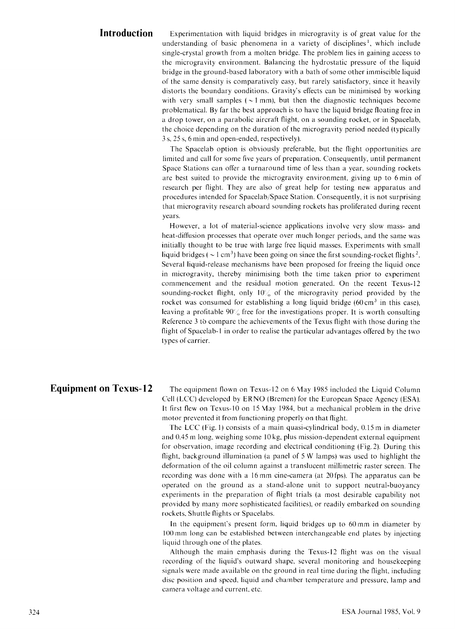**Introduction** Experimentation with liquid bridges in microgravity is of great value for the understanding of basic phenomena in a variety of disciplines<sup>1</sup>, which include single-crystal growth from a molten bridge. The problem lies in gaining access to the microgravity environment. Balancing the hydrostatic pressure of the liquid bridge in the ground-based laboratory with a bath of some other immiscible liquid of the same density is comparatively easy, but rarely satisfactory, since it heavily distorts the boundary conditions. Gravity's effects can be minimised by working with very small samples ( $\sim$ 1 mm), but then the diagnostic techniques become problematical. By far the best approach is to have the liquid bridge floating free in a drop tower, on a parabolic aircraft flight, on a sounding rocket, or in Spacelab, the choice depending on the duration of the microgravity period needed (typically 3 s, 25 s, 6 min and open-ended, respectively).

> The Spacelab option is obviously preferable, but the flight opportunities are limited and call for some five years of preparation. Consequently, until permanent Space Stations can offer a turnaround time of less than a year, sounding rockets are best suited to provide the microgravity environment, giving up to 6 min of research per flight. They are also of great help for testing new apparatus and procedures intended for Spacelab/Spacc Station. Consequently, it is not surprising that microgravity research aboard sounding rockets has proliferated during recent years.

> However, a lot of material-science applications involve very slow mass- and heat-diffusion processes that operate over much longer periods, and the same was initially thought to be true with large free liquid masses. Experiments with small liquid bridges ( $\sim$  1 cm<sup>3</sup>) have been going on since the first sounding-rocket flights<sup>2</sup>. Several liquid-release mechanisms have been proposed for freeing the liquid once in microgravity, thereby minimising both the time taken prior to experiment commencement and the residual motion generated. On the recent Texus-12 sounding-rocket flight, only  $10\%$  of the microgravity period provided by the rocket was consumed for establishing a long liquid bridge  $(60 \text{ cm}^3)$  in this case), leaving a profitable 90% free for the investigations proper. It is worth consulting Reference 3 to compare the achievements of the Texus flight with those during the flight of Spacelab-1 in order to realise the particular advantages offered by the two types of carrier.

**Equipment on Texus-12** The equipment flown on Texus-12 on 6 May 1985 included the Liquid Column Cell (LCC) developed by ERNO (Bremen) for the European Space Agency (ESA). It first flew on Texus-10 on 15 May 1984, but a mechanical problem in the drive motor prevented it from functioning properly on that flight.

> The LCC (Fig. 1) consists of a main quasi-cylindrical body, 0.15 m in diameter and  $0.45$  m long, weighing some  $10$  kg, plus mission-dependent external equipment for observation, image recording and electrical conditioning (Fig. 2). During this flight, background illumination (a panel of 5 W lamps) was used to highlight the deformation of the oil column against a translucent millimetric raster screen. The recording was done with a 16 mm cine-camera (at 20fps). The apparatus can be operated on the ground as a stand-alone unit to support neutral-buoyancy experiments in the preparation of flight trials (a most desirable capability not provided by many more sophisticated facilities), or readily embarked on sounding rockets. Shuttle flights or Spacelabs.

> In the equipment's present form, liquid bridges up to 60mm in diameter by 100 mm long can be established between interchangeable end plates by injecting liquid through one of the plates.

> Although the main emphasis during the Texus-12 flight was on the visual recording of the liquid's outward shape, several monitoring and housekeeping signals were made available on the ground in real time during the flight, including disc position and speed, liquid and chamber temperature and pressure, lamp and camera voltage and current, etc.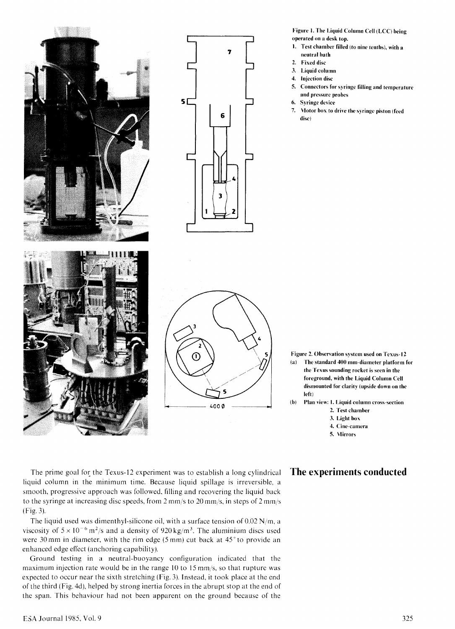



Œ  $4000$  Figure 1. The Liquid Column Cell (LCC) being operated on a desk top.

- 1. Test chamber filled (to nine tenths), with a neutral bath
- 2. Fixed disc
- 3. Liquid column
- 4. Injection disc
- 5. Connectors for syringe filling and temperature and pressure probes
- 6. Syringe device
- 7. Motor box to drive the syringe piston (feed disc)

- Figure 2. Observation system used on Tcxus-12 (a) The standard 400 mm-diameter platform for the Texus sounding rocket is seen in the foreground, with the Liquid Column Cell dismounted for clarity (upside down on the left)
- (b) Plan view: I. Liquid column cross-section
	- 2. Test chamber
	- 3. Light box
	- 4. Cine-camera
	- 5. Mirrors

The prime goal for the Texus-12 experiment was to establish a long cylindrical **The experiments Conducted**  liquid column in the minimum time. Because liquid spillage is irreversible, a smooth, progressive approach was followed, filling and recovering the liquid back to the syringe at increasing disc speeds, from 2 mm/s to 20 mm/s, in steps of 2 mm/s (Fig. 3).

The liquid used was dimenthyl-silicone oil, with a surface tension of  $0.02$  N/m, a viscosity of  $5 \times 10^{-6}$  m<sup>2</sup>/s and a density of 920 kg/m<sup>3</sup>. The aluminium discs used were 30 mm in diameter, with the rim edge (5 mm) cut back at 45° to provide an enhanced edge effect (anchoring capability).

Ground testing in a neutral-buoyancy configuration indicated that the maximum injection rate would be in the range 10 to 15 mm/s, so that rupture was expected to occur near the sixth stretching (Fig. 3). Instead, it took place at the end of the third (Fig. 4d), helped by strong inertia forces in the abrupt stop at the end of the span. This behaviour had not been apparent on the ground because of the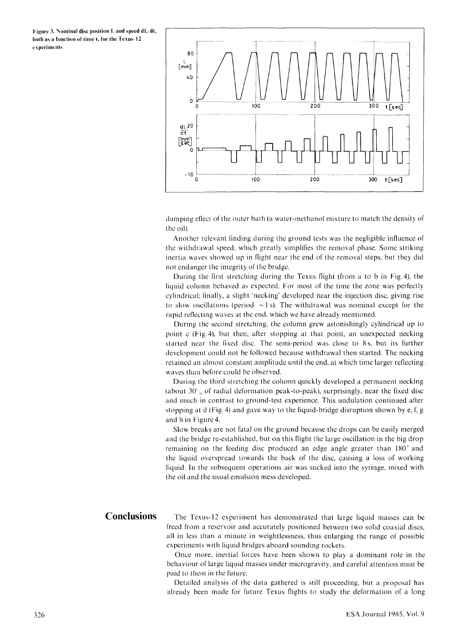Figure 3. Nominal disc position  $L$  and speed  $dL/dt$ , both as a function of time t, for the Texus-12 experiments



damping effect of the outer bath (a water-methanol mixture to match the density of the oil).

Another relevant finding during the ground tests was the negligible influence of the withdrawal speed, which greatly simplifies the removal phase. Some striking inertia waves showed up in flight near the end of the removal steps, but they did not endanger the integrity of the bridge.

During the first stretching during the Texus flight (from a to b in Fig. 4), the liquid column behaved as expected. For most of the time the zone was perfectly cylindrical; finally, a slight 'necking' developed near the injection disc, giving rise to slow oscillations (period  $\sim$  1 s). The withdrawal was nominal except for the rapid reflecting waves at the end, which we have already mentioned.

During the second stretching, the column grew astonishingly cylindrical up to point c (Fig.4), but then, after stopping at that point, an unexpected necking started near the fixed disc. The semi-period was close to 8 s, but its further development could not be followed because withdrawal then started. The necking retained an almost constant amplitude until the end, at which time larger reflecting. waves than before could be observed.

During the third stretching the column quickly developed a permanent necking (about  $30\%$  of radial deformation peak-to-peak), surprisingly, near the fixed disc and much in contrast to ground-test experience. This undulation continued after stopping at d (Fig. 4) and gave way to the liquid-bridge disruption shown by e, f, g and h in Figure 4.

Slow breaks are not fatal on the ground because the drops can be easily merged and the bridge re-established, but on this flight the large oscillation in the big drop remaining on the feeding disc produced an edge angle greater than 180° and the liquid overspread towards the back of the disc, causing a loss of working liquid. In the subsequent operations air was sucked into the syringe, mixed with the oil and the usual emulsion mess developed.

**Conclusions** The Texus-12 experiment has demonstrated that large liquid masses can be freed from a reservoir and accurately positioned between two solid coaxial discs, all in less than a minute in weightlessness, thus enlarging the range of possible experiments with liquid bridges aboard sounding rockets.

> Once more, inertial forces have been shown to play a dominant role in the behaviour of large liquid masses under microgravity, and careful attention must be paid to them in the future.

> Detailed analysis of the data gathered is still proceeding, but a proposal has already been made for future Texus flights to study the deformation of a long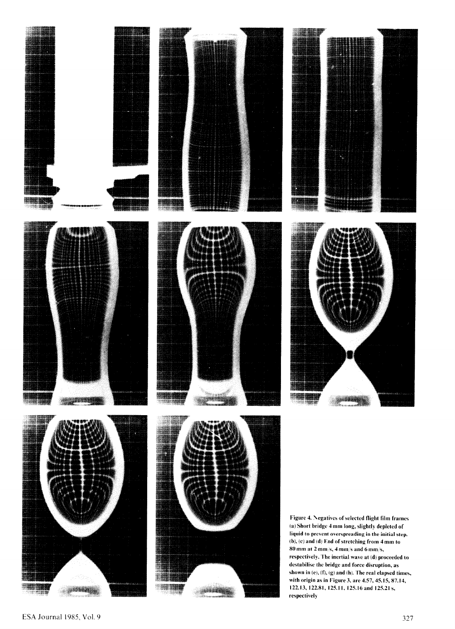